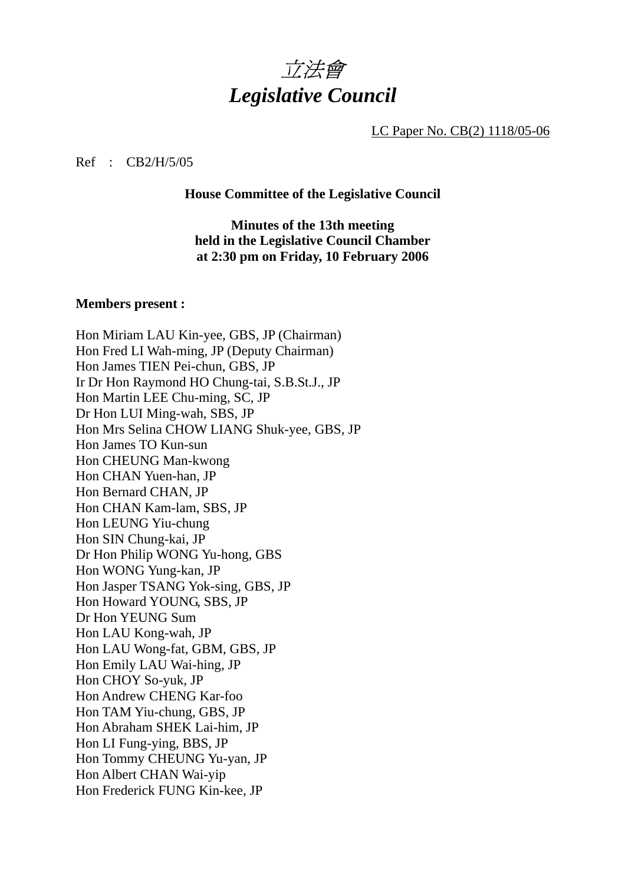

LC Paper No. CB(2) 1118/05-06

#### Ref : CB2/H/5/05

#### **House Committee of the Legislative Council**

**Minutes of the 13th meeting held in the Legislative Council Chamber at 2:30 pm on Friday, 10 February 2006** 

#### **Members present :**

Hon Miriam LAU Kin-yee, GBS, JP (Chairman) Hon Fred LI Wah-ming, JP (Deputy Chairman) Hon James TIEN Pei-chun, GBS, JP Ir Dr Hon Raymond HO Chung-tai, S.B.St.J., JP Hon Martin LEE Chu-ming, SC, JP Dr Hon LUI Ming-wah, SBS, JP Hon Mrs Selina CHOW LIANG Shuk-yee, GBS, JP Hon James TO Kun-sun Hon CHEUNG Man-kwong Hon CHAN Yuen-han, JP Hon Bernard CHAN, JP Hon CHAN Kam-lam, SBS, JP Hon LEUNG Yiu-chung Hon SIN Chung-kai, JP Dr Hon Philip WONG Yu-hong, GBS Hon WONG Yung-kan, JP Hon Jasper TSANG Yok-sing, GBS, JP Hon Howard YOUNG, SBS, JP Dr Hon YEUNG Sum Hon LAU Kong-wah, JP Hon LAU Wong-fat, GBM, GBS, JP Hon Emily LAU Wai-hing, JP Hon CHOY So-yuk, JP Hon Andrew CHENG Kar-foo Hon TAM Yiu-chung, GBS, JP Hon Abraham SHEK Lai-him, JP Hon LI Fung-ying, BBS, JP Hon Tommy CHEUNG Yu-yan, JP Hon Albert CHAN Wai-yip Hon Frederick FUNG Kin-kee, JP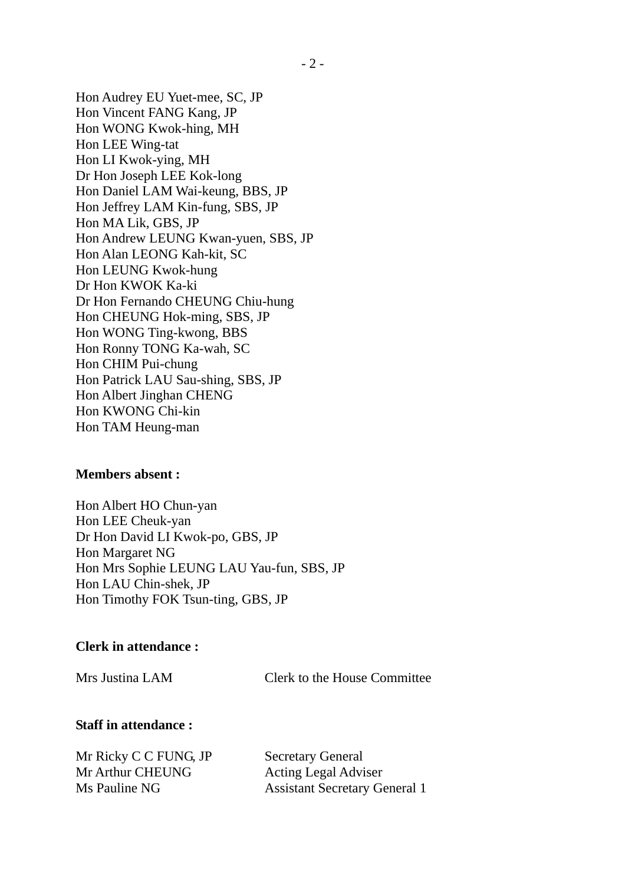Hon Audrey EU Yuet-mee, SC, JP Hon Vincent FANG Kang, JP Hon WONG Kwok-hing, MH Hon LEE Wing-tat Hon LI Kwok-ying, MH Dr Hon Joseph LEE Kok-long Hon Daniel LAM Wai-keung, BBS, JP Hon Jeffrey LAM Kin-fung, SBS, JP Hon MA Lik, GBS, JP Hon Andrew LEUNG Kwan-yuen, SBS, JP Hon Alan LEONG Kah-kit, SC Hon LEUNG Kwok-hung Dr Hon KWOK Ka-ki Dr Hon Fernando CHEUNG Chiu-hung Hon CHEUNG Hok-ming, SBS, JP Hon WONG Ting-kwong, BBS Hon Ronny TONG Ka-wah, SC Hon CHIM Pui-chung Hon Patrick LAU Sau-shing, SBS, JP Hon Albert Jinghan CHENG Hon KWONG Chi-kin Hon TAM Heung-man

### **Members absent :**

Hon Albert HO Chun-yan Hon LEE Cheuk-yan Dr Hon David LI Kwok-po, GBS, JP Hon Margaret NG Hon Mrs Sophie LEUNG LAU Yau-fun, SBS, JP Hon LAU Chin-shek, JP Hon Timothy FOK Tsun-ting, GBS, JP

#### **Clerk in attendance :**

Mrs Justina LAM Clerk to the House Committee

## **Staff in attendance :**

Mr Ricky C C FUNG, JP Secretary General Mr Arthur CHEUNG Acting Legal Adviser

Ms Pauline NG Assistant Secretary General 1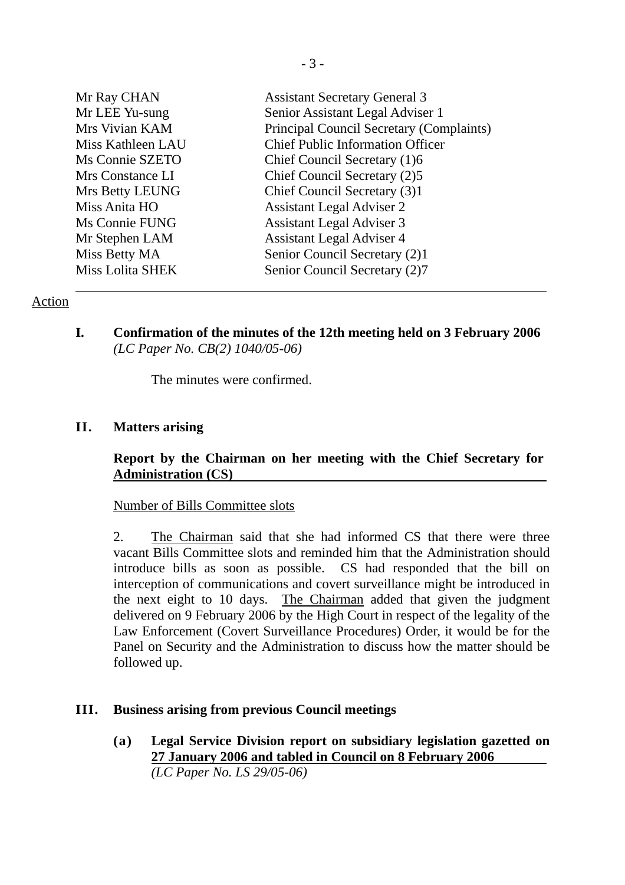| Mr Ray CHAN             | <b>Assistant Secretary General 3</b>     |
|-------------------------|------------------------------------------|
| Mr LEE Yu-sung          | Senior Assistant Legal Adviser 1         |
| Mrs Vivian KAM          | Principal Council Secretary (Complaints) |
| Miss Kathleen LAU       | <b>Chief Public Information Officer</b>  |
| Ms Connie SZETO         | Chief Council Secretary (1)6             |
| Mrs Constance LI        | Chief Council Secretary (2)5             |
| Mrs Betty LEUNG         | Chief Council Secretary (3)1             |
| Miss Anita HO           | <b>Assistant Legal Adviser 2</b>         |
| Ms Connie FUNG          | <b>Assistant Legal Adviser 3</b>         |
| Mr Stephen LAM          | <b>Assistant Legal Adviser 4</b>         |
| Miss Betty MA           | Senior Council Secretary (2)1            |
| <b>Miss Lolita SHEK</b> | Senior Council Secretary (2)7            |
|                         |                                          |

## Action

**I. Confirmation of the minutes of the 12th meeting held on 3 February 2006**  *(LC Paper No. CB(2) 1040/05-06)* 

The minutes were confirmed.

## **II. Matters arising**

## **Report by the Chairman on her meeting with the Chief Secretary for Administration (CS)**

### Number of Bills Committee slots

2. The Chairman said that she had informed CS that there were three vacant Bills Committee slots and reminded him that the Administration should introduce bills as soon as possible. CS had responded that the bill on interception of communications and covert surveillance might be introduced in the next eight to 10 days. The Chairman added that given the judgment delivered on 9 February 2006 by the High Court in respect of the legality of the Law Enforcement (Covert Surveillance Procedures) Order, it would be for the Panel on Security and the Administration to discuss how the matter should be followed up.

### **III. Business arising from previous Council meetings**

**(a) Legal Service Division report on subsidiary legislation gazetted on 27 January 2006 and tabled in Council on 8 February 2006**  *(LC Paper No. LS 29/05-06)*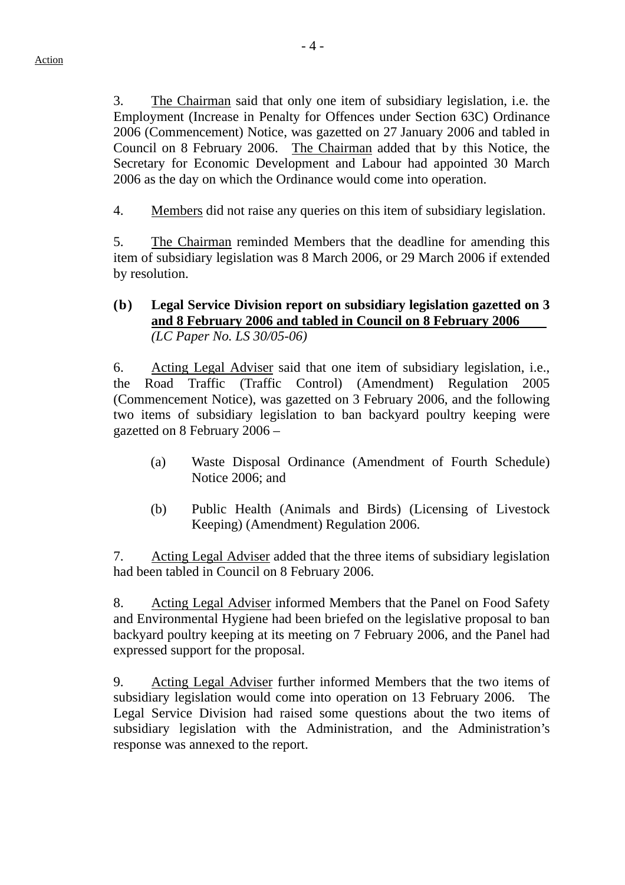3. The Chairman said that only one item of subsidiary legislation, i.e. the Employment (Increase in Penalty for Offences under Section 63C) Ordinance 2006 (Commencement) Notice, was gazetted on 27 January 2006 and tabled in Council on 8 February 2006. The Chairman added that by this Notice, the Secretary for Economic Development and Labour had appointed 30 March

4. Members did not raise any queries on this item of subsidiary legislation.

2006 as the day on which the Ordinance would come into operation.

5. The Chairman reminded Members that the deadline for amending this item of subsidiary legislation was 8 March 2006, or 29 March 2006 if extended by resolution.

## **(b) Legal Service Division report on subsidiary legislation gazetted on 3 and 8 February 2006 and tabled in Council on 8 February 2006** *(LC Paper No. LS 30/05-06)*

6. Acting Legal Adviser said that one item of subsidiary legislation, i.e., the Road Traffic (Traffic Control) (Amendment) Regulation 2005 (Commencement Notice), was gazetted on 3 February 2006, and the following two items of subsidiary legislation to ban backyard poultry keeping were gazetted on 8 February 2006 –

- (a) Waste Disposal Ordinance (Amendment of Fourth Schedule) Notice 2006; and
- (b) Public Health (Animals and Birds) (Licensing of Livestock Keeping) (Amendment) Regulation 2006.

7. Acting Legal Adviser added that the three items of subsidiary legislation had been tabled in Council on 8 February 2006.

8. Acting Legal Adviser informed Members that the Panel on Food Safety and Environmental Hygiene had been briefed on the legislative proposal to ban backyard poultry keeping at its meeting on 7 February 2006, and the Panel had expressed support for the proposal.

9. Acting Legal Adviser further informed Members that the two items of subsidiary legislation would come into operation on 13 February 2006. The Legal Service Division had raised some questions about the two items of subsidiary legislation with the Administration, and the Administration's response was annexed to the report.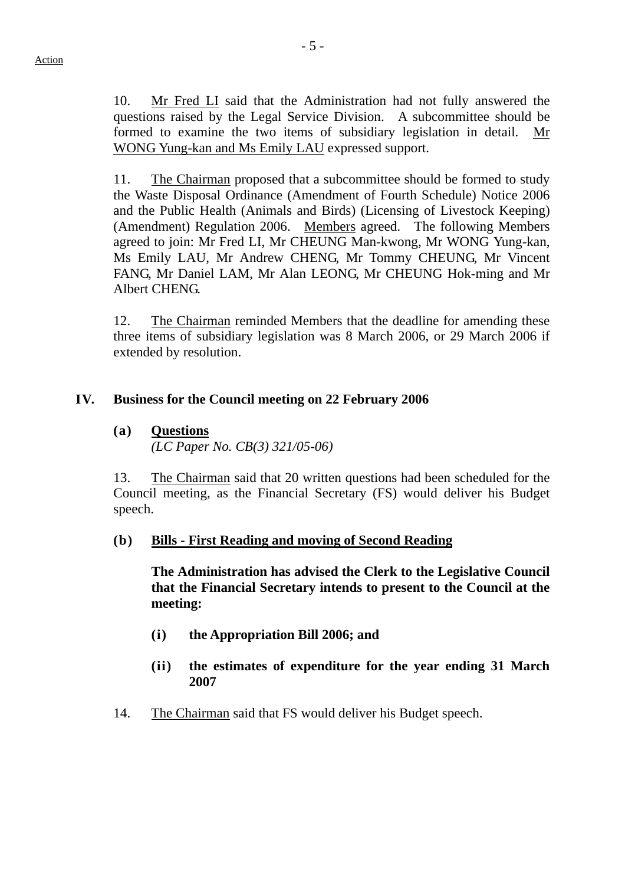10. Mr Fred LI said that the Administration had not fully answered the questions raised by the Legal Service Division. A subcommittee should be formed to examine the two items of subsidiary legislation in detail. Mr WONG Yung-kan and Ms Emily LAU expressed support.

11. The Chairman proposed that a subcommittee should be formed to study the Waste Disposal Ordinance (Amendment of Fourth Schedule) Notice 2006 and the Public Health (Animals and Birds) (Licensing of Livestock Keeping) (Amendment) Regulation 2006. Members agreed. The following Members agreed to join: Mr Fred LI, Mr CHEUNG Man-kwong, Mr WONG Yung-kan, Ms Emily LAU, Mr Andrew CHENG, Mr Tommy CHEUNG, Mr Vincent FANG, Mr Daniel LAM, Mr Alan LEONG, Mr CHEUNG Hok-ming and Mr Albert CHENG.

12. The Chairman reminded Members that the deadline for amending these three items of subsidiary legislation was 8 March 2006, or 29 March 2006 if extended by resolution.

## **IV. Business for the Council meeting on 22 February 2006**

# **(a) Questions**

*(LC Paper No. CB(3) 321/05-06)* 

13. The Chairman said that 20 written questions had been scheduled for the Council meeting, as the Financial Secretary (FS) would deliver his Budget speech.

## **(b) Bills - First Reading and moving of Second Reading**

**The Administration has advised the Clerk to the Legislative Council that the Financial Secretary intends to present to the Council at the meeting:**

- **(i) the Appropriation Bill 2006; and**
- **(ii) the estimates of expenditure for the year ending 31 March 2007**
- 14. The Chairman said that FS would deliver his Budget speech.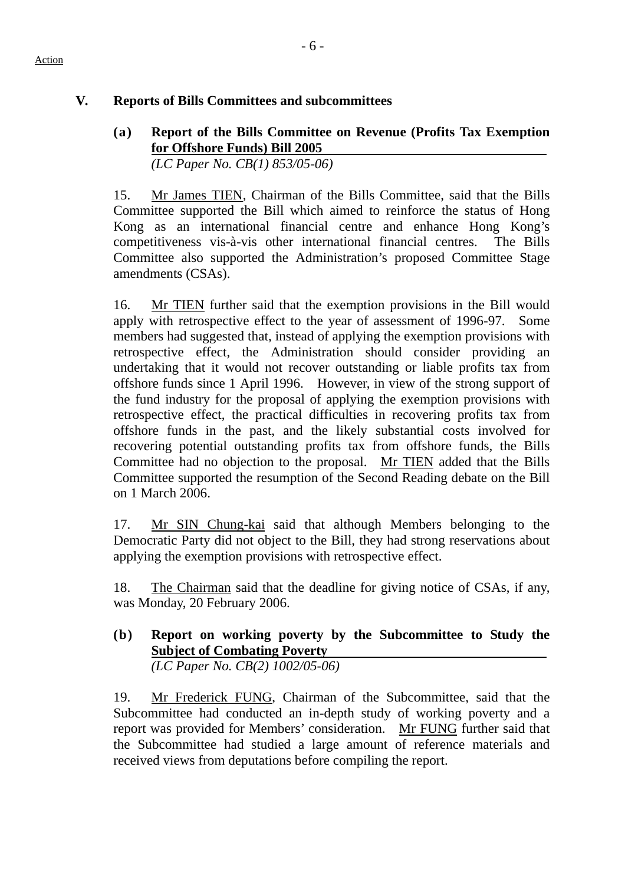#### Action

# **V. Reports of Bills Committees and subcommittees**

# **(a) Report of the Bills Committee on Revenue (Profits Tax Exemption for Offshore Funds) Bill 2005**

*(LC Paper No. CB(1) 853/05-06)* 

15. Mr James TIEN, Chairman of the Bills Committee, said that the Bills Committee supported the Bill which aimed to reinforce the status of Hong Kong as an international financial centre and enhance Hong Kong's competitiveness vis-à-vis other international financial centres. The Bills Committee also supported the Administration's proposed Committee Stage amendments (CSAs).

16. Mr TIEN further said that the exemption provisions in the Bill would apply with retrospective effect to the year of assessment of 1996-97. Some members had suggested that, instead of applying the exemption provisions with retrospective effect, the Administration should consider providing an undertaking that it would not recover outstanding or liable profits tax from offshore funds since 1 April 1996. However, in view of the strong support of the fund industry for the proposal of applying the exemption provisions with retrospective effect, the practical difficulties in recovering profits tax from offshore funds in the past, and the likely substantial costs involved for recovering potential outstanding profits tax from offshore funds, the Bills Committee had no objection to the proposal. Mr TIEN added that the Bills Committee supported the resumption of the Second Reading debate on the Bill on 1 March 2006.

17. Mr SIN Chung-kai said that although Members belonging to the Democratic Party did not object to the Bill, they had strong reservations about applying the exemption provisions with retrospective effect.

18. The Chairman said that the deadline for giving notice of CSAs, if any, was Monday, 20 February 2006.

**(b) Report on working poverty by the Subcommittee to Study the Subject of Combating Poverty** 

*(LC Paper No. CB(2) 1002/05-06)* 

19. Mr Frederick FUNG, Chairman of the Subcommittee, said that the Subcommittee had conducted an in-depth study of working poverty and a report was provided for Members' consideration. Mr FUNG further said that the Subcommittee had studied a large amount of reference materials and received views from deputations before compiling the report.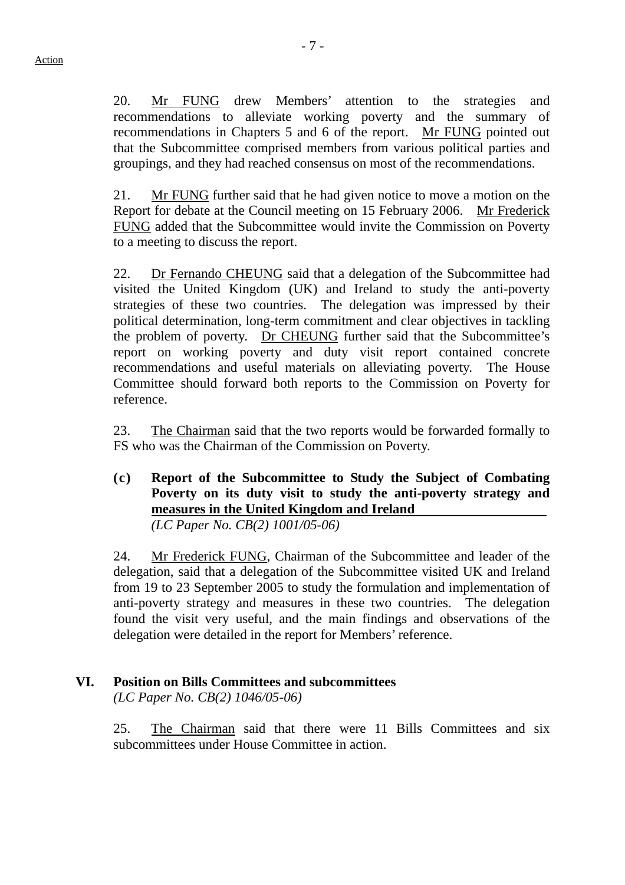20. Mr FUNG drew Members' attention to the strategies and recommendations to alleviate working poverty and the summary of recommendations in Chapters 5 and 6 of the report. Mr FUNG pointed out that the Subcommittee comprised members from various political parties and groupings, and they had reached consensus on most of the recommendations.

21. Mr FUNG further said that he had given notice to move a motion on the Report for debate at the Council meeting on 15 February 2006. Mr Frederick FUNG added that the Subcommittee would invite the Commission on Poverty to a meeting to discuss the report.

22. Dr Fernando CHEUNG said that a delegation of the Subcommittee had visited the United Kingdom (UK) and Ireland to study the anti-poverty strategies of these two countries. The delegation was impressed by their political determination, long-term commitment and clear objectives in tackling the problem of poverty. Dr CHEUNG further said that the Subcommittee's report on working poverty and duty visit report contained concrete recommendations and useful materials on alleviating poverty. The House Committee should forward both reports to the Commission on Poverty for reference.

23. The Chairman said that the two reports would be forwarded formally to FS who was the Chairman of the Commission on Poverty.

**(c) Report of the Subcommittee to Study the Subject of Combating Poverty on its duty visit to study the anti-poverty strategy and measures in the United Kingdom and Ireland**  *(LC Paper No. CB(2) 1001/05-06)* 

24. Mr Frederick FUNG, Chairman of the Subcommittee and leader of the delegation, said that a delegation of the Subcommittee visited UK and Ireland from 19 to 23 September 2005 to study the formulation and implementation of anti-poverty strategy and measures in these two countries. The delegation found the visit very useful, and the main findings and observations of the delegation were detailed in the report for Members' reference.

# **VI. Position on Bills Committees and subcommittees**

*(LC Paper No. CB(2) 1046/05-06)* 

25. The Chairman said that there were 11 Bills Committees and six subcommittees under House Committee in action.